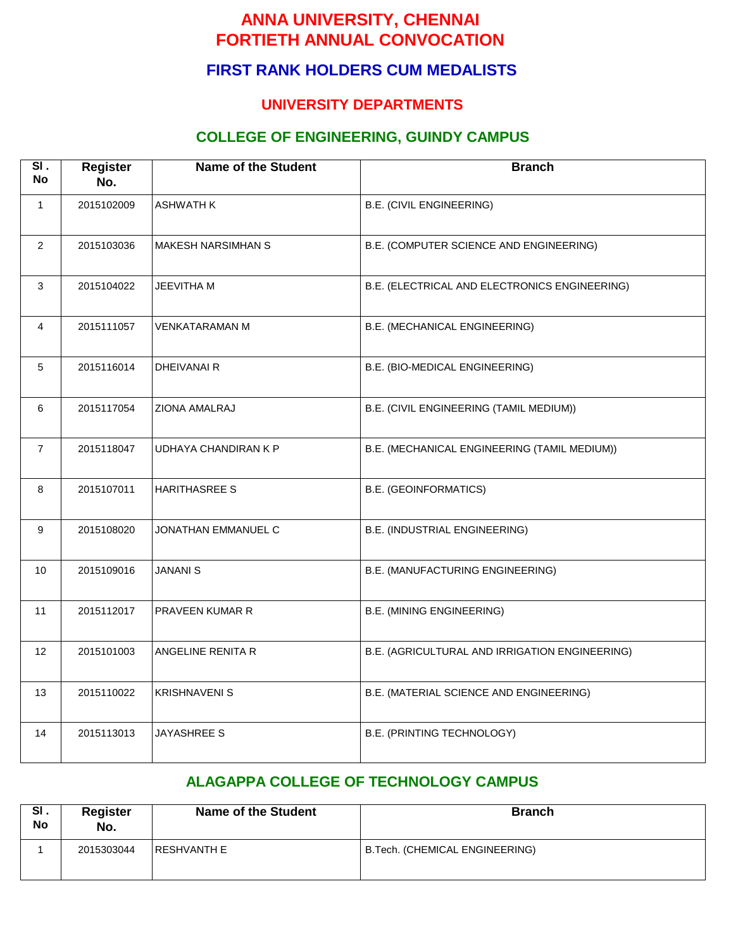# **FIRST RANK HOLDERS CUM MEDALISTS**

### **UNIVERSITY DEPARTMENTS**

## **COLLEGE OF ENGINEERING, GUINDY CAMPUS**

| SI.<br><b>No</b> | <b>Register</b><br>No. | <b>Name of the Student</b> | <b>Branch</b>                                  |  |
|------------------|------------------------|----------------------------|------------------------------------------------|--|
| $\mathbf{1}$     | 2015102009             | <b>ASHWATH K</b>           | B.E. (CIVIL ENGINEERING)                       |  |
| $\overline{2}$   | 2015103036             | <b>MAKESH NARSIMHAN S</b>  | B.E. (COMPUTER SCIENCE AND ENGINEERING)        |  |
| 3                | 2015104022             | <b>JEEVITHA M</b>          | B.E. (ELECTRICAL AND ELECTRONICS ENGINEERING)  |  |
| $\overline{4}$   | 2015111057             | <b>VENKATARAMAN M</b>      | B.E. (MECHANICAL ENGINEERING)                  |  |
| 5                | 2015116014             | DHEIVANAI R                | B.E. (BIO-MEDICAL ENGINEERING)                 |  |
| 6                | 2015117054             | ZIONA AMALRAJ              | B.E. (CIVIL ENGINEERING (TAMIL MEDIUM))        |  |
| $\overline{7}$   | 2015118047             | UDHAYA CHANDIRAN K P       | B.E. (MECHANICAL ENGINEERING (TAMIL MEDIUM))   |  |
| 8                | 2015107011             | <b>HARITHASREE S</b>       | <b>B.E. (GEOINFORMATICS)</b>                   |  |
| 9                | 2015108020             | JONATHAN EMMANUEL C        | B.E. (INDUSTRIAL ENGINEERING)                  |  |
| 10               | 2015109016             | <b>JANANIS</b>             | B.E. (MANUFACTURING ENGINEERING)               |  |
| 11               | 2015112017             | PRAVEEN KUMAR R            | B.E. (MINING ENGINEERING)                      |  |
| 12 <sup>°</sup>  | 2015101003             | ANGELINE RENITA R          | B.E. (AGRICULTURAL AND IRRIGATION ENGINEERING) |  |
| 13               | 2015110022             | <b>KRISHNAVENI S</b>       | B.E. (MATERIAL SCIENCE AND ENGINEERING)        |  |
| 14               | 2015113013             | JAYASHREE S                | B.E. (PRINTING TECHNOLOGY)                     |  |

#### **ALAGAPPA COLLEGE OF TECHNOLOGY CAMPUS**

| SI.<br><b>No</b> | <b>Register</b><br>No. | <b>Name of the Student</b> | <b>Branch</b>                  |
|------------------|------------------------|----------------------------|--------------------------------|
|                  | 2015303044             | I RESHVANTH E              | B.Tech. (CHEMICAL ENGINEERING) |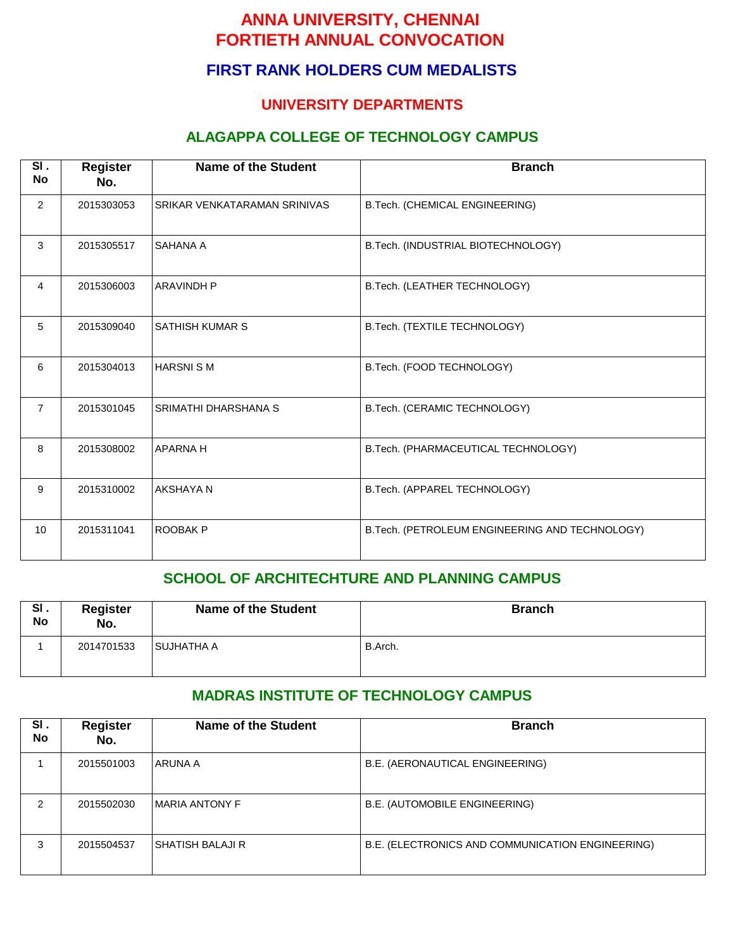### **FIRST RANK HOLDERS CUM MEDALISTS**

#### **UNIVERSITY DEPARTMENTS**

#### **ALAGAPPA COLLEGE OF TECHNOLOGY CAMPUS**

| SI.<br><b>No</b> | <b>Register</b><br>No. | <b>Name of the Student</b>   | <b>Branch</b>                                  |  |
|------------------|------------------------|------------------------------|------------------------------------------------|--|
| $\overline{2}$   | 2015303053             | SRIKAR VENKATARAMAN SRINIVAS | B.Tech. (CHEMICAL ENGINEERING)                 |  |
| 3                | 2015305517             | SAHANA A                     | B.Tech. (INDUSTRIAL BIOTECHNOLOGY)             |  |
| 4                | 2015306003             | <b>ARAVINDH P</b>            | B.Tech. (LEATHER TECHNOLOGY)                   |  |
| 5                | 2015309040             | <b>SATHISH KUMAR S</b>       | B.Tech. (TEXTILE TECHNOLOGY)                   |  |
| 6                | 2015304013             | <b>HARSNISM</b>              | B.Tech. (FOOD TECHNOLOGY)                      |  |
| $\overline{7}$   | 2015301045             | SRIMATHI DHARSHANA S         | B.Tech. (CERAMIC TECHNOLOGY)                   |  |
| 8                | 2015308002             | <b>APARNAH</b>               | B.Tech. (PHARMACEUTICAL TECHNOLOGY)            |  |
| 9                | 2015310002             | AKSHAYA N                    | B.Tech. (APPAREL TECHNOLOGY)                   |  |
| 10               | 2015311041             | ROOBAK P                     | B.Tech. (PETROLEUM ENGINEERING AND TECHNOLOGY) |  |

#### **SCHOOL OF ARCHITECHTURE AND PLANNING CAMPUS**

| SI.<br><b>No</b> | Register<br>No. | <b>Name of the Student</b> | <b>Branch</b> |
|------------------|-----------------|----------------------------|---------------|
|                  | 2014701533      | <b>SUJHATHA A</b>          | B.Arch.       |

#### **MADRAS INSTITUTE OF TECHNOLOGY CAMPUS**

| SI.<br><b>No</b> | <b>Register</b><br>No. | <b>Name of the Student</b> | <b>Branch</b>                                    |
|------------------|------------------------|----------------------------|--------------------------------------------------|
|                  | 2015501003             | ARUNA A                    | B.E. (AERONAUTICAL ENGINEERING)                  |
| າ                | 2015502030             | IMARIA ANTONY F            | B.E. (AUTOMOBILE ENGINEERING)                    |
| 3                | 2015504537             | I SHATISH BALAJI R         | B.E. (ELECTRONICS AND COMMUNICATION ENGINEERING) |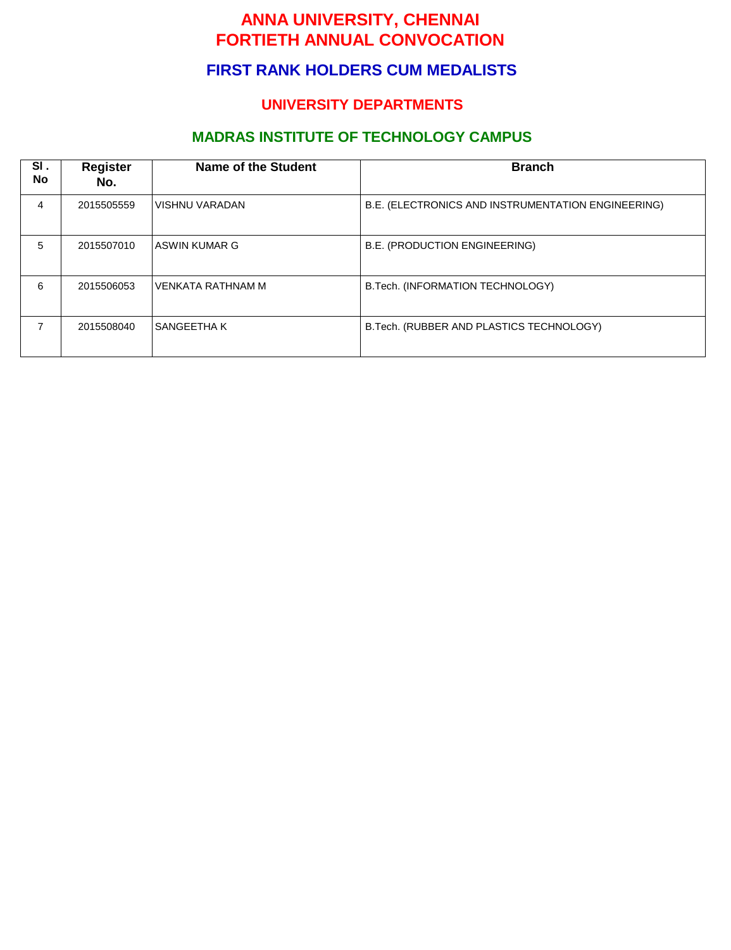## **FIRST RANK HOLDERS CUM MEDALISTS**

### **UNIVERSITY DEPARTMENTS**

## **MADRAS INSTITUTE OF TECHNOLOGY CAMPUS**

| SI.<br>No | <b>Register</b><br>No. | <b>Name of the Student</b> | <b>Branch</b>                                      |
|-----------|------------------------|----------------------------|----------------------------------------------------|
| 4         | 2015505559             | VISHNU VARADAN             | B.E. (ELECTRONICS AND INSTRUMENTATION ENGINEERING) |
| 5         | 2015507010             | ASWIN KUMAR G              | B.E. (PRODUCTION ENGINEERING)                      |
| 6         | 2015506053             | VENKATA RATHNAM M          | B.Tech. (INFORMATION TECHNOLOGY)                   |
|           | 2015508040             | l SANGEETHA K              | B. Tech. (RUBBER AND PLASTICS TECHNOLOGY)          |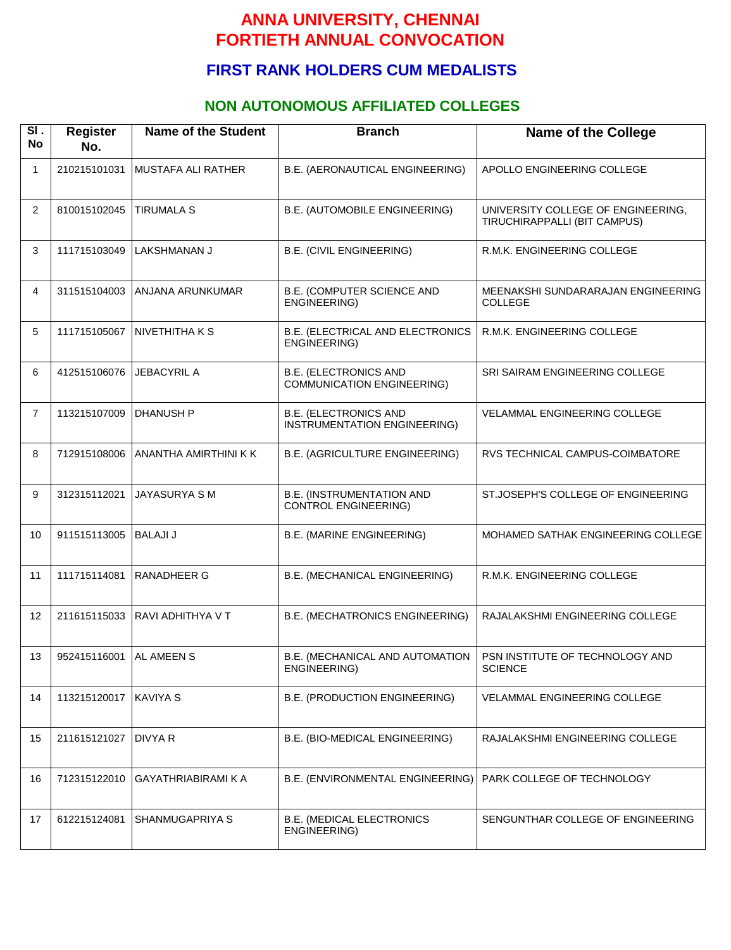## **FIRST RANK HOLDERS CUM MEDALISTS**

### **NON AUTONOMOUS AFFILIATED COLLEGES**

| SI.<br><b>No</b> | <b>Register</b><br>No. | <b>Name of the Student</b> | <b>Branch</b>                                                     | <b>Name of the College</b>                                         |
|------------------|------------------------|----------------------------|-------------------------------------------------------------------|--------------------------------------------------------------------|
| $\mathbf{1}$     | 210215101031           | MUSTAFA ALI RATHER         | B.E. (AERONAUTICAL ENGINEERING)                                   | APOLLO ENGINEERING COLLEGE                                         |
| 2                | 810015102045           | <b>TIRUMALA S</b>          | B.E. (AUTOMOBILE ENGINEERING)                                     | UNIVERSITY COLLEGE OF ENGINEERING,<br>TIRUCHIRAPPALLI (BIT CAMPUS) |
| 3                | 111715103049           | <b>LAKSHMANAN J</b>        | <b>B.E. (CIVIL ENGINEERING)</b>                                   | R.M.K. ENGINEERING COLLEGE                                         |
| 4                | 311515104003           | ANJANA ARUNKUMAR           | B.E. (COMPUTER SCIENCE AND<br>ENGINEERING)                        | MEENAKSHI SUNDARARAJAN ENGINEERING<br><b>COLLEGE</b>               |
| 5                | 111715105067           | NIVETHITHA K S             | B.E. (ELECTRICAL AND ELECTRONICS<br>ENGINEERING)                  | R.M.K. ENGINEERING COLLEGE                                         |
| 6                | 412515106076           | <b>JEBACYRIL A</b>         | <b>B.E. (ELECTRONICS AND</b><br><b>COMMUNICATION ENGINEERING)</b> | SRI SAIRAM ENGINEERING COLLEGE                                     |
| $\overline{7}$   | 113215107009           | <b>DHANUSH P</b>           | <b>B.E. (ELECTRONICS AND</b><br>INSTRUMENTATION ENGINEERING)      | VELAMMAL ENGINEERING COLLEGE                                       |
| 8                | 712915108006           | ANANTHA AMIRTHINI K K      | B.E. (AGRICULTURE ENGINEERING)                                    | RVS TECHNICAL CAMPUS-COIMBATORE                                    |
| 9                | 312315112021           | <b>JAYASURYA SM</b>        | <b>B.E. (INSTRUMENTATION AND</b><br><b>CONTROL ENGINEERING)</b>   | ST.JOSEPH'S COLLEGE OF ENGINEERING                                 |
| 10               | 911515113005           | <b>BALAJI J</b>            | <b>B.E. (MARINE ENGINEERING)</b>                                  | MOHAMED SATHAK ENGINEERING COLLEGE                                 |
| 11               | 111715114081           | <b>RANADHEER G</b>         | B.E. (MECHANICAL ENGINEERING)                                     | R.M.K. ENGINEERING COLLEGE                                         |
| 12               | 211615115033           | RAVI ADHITHYA V T          | B.E. (MECHATRONICS ENGINEERING)                                   | RAJALAKSHMI ENGINEERING COLLEGE                                    |
| 13               | 952415116001           | AL AMEEN S                 | B.E. (MECHANICAL AND AUTOMATION<br>ENGINEERING)                   | PSN INSTITUTE OF TECHNOLOGY AND<br><b>SCIENCE</b>                  |
| 14               | 113215120017           | <b>KAVIYA S</b>            | B.E. (PRODUCTION ENGINEERING)                                     | VELAMMAL ENGINEERING COLLEGE                                       |
| 15               | 211615121027           | DIVYA R                    | B.E. (BIO-MEDICAL ENGINEERING)                                    | RAJALAKSHMI ENGINEERING COLLEGE                                    |
| 16               | 712315122010           | <b>GAYATHRIABIRAMI K A</b> | B.E. (ENVIRONMENTAL ENGINEERING)                                  | PARK COLLEGE OF TECHNOLOGY                                         |
| 17               | 612215124081           | SHANMUGAPRIYA S            | <b>B.E. (MEDICAL ELECTRONICS</b><br>ENGINEERING)                  | SENGUNTHAR COLLEGE OF ENGINEERING                                  |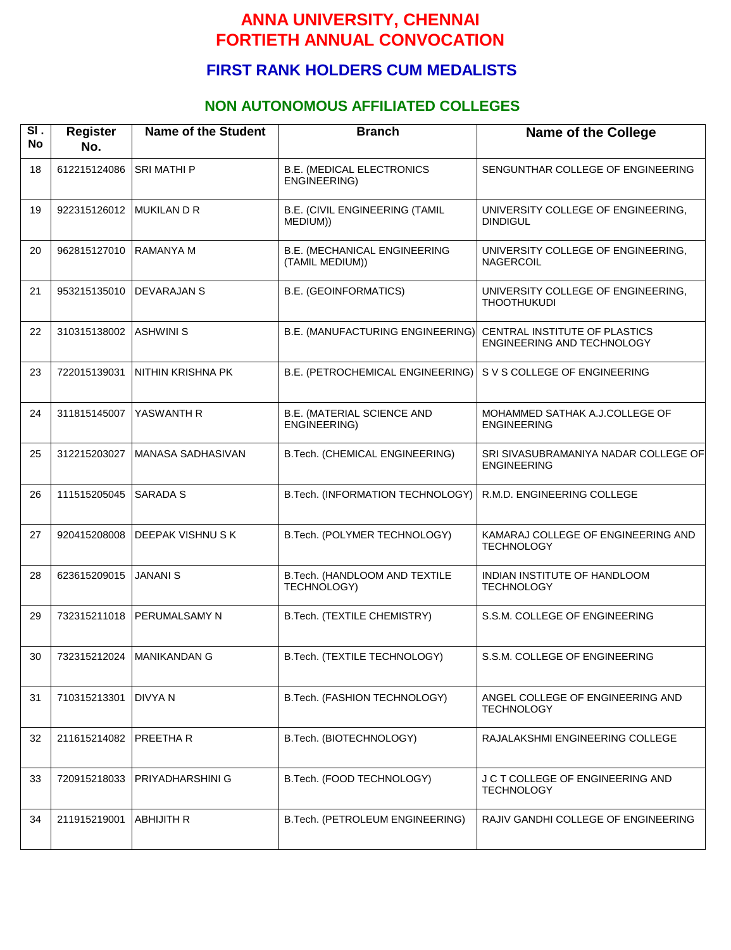### **FIRST RANK HOLDERS CUM MEDALISTS**

#### **NON AUTONOMOUS AFFILIATED COLLEGES**

| SI.<br><b>No</b> | <b>Register</b><br>No. | <b>Name of the Student</b> | <b>Branch</b>                                          | <b>Name of the College</b>                                  |
|------------------|------------------------|----------------------------|--------------------------------------------------------|-------------------------------------------------------------|
| 18               | 612215124086           | <b>SRI MATHI P</b>         | <b>B.E. (MEDICAL ELECTRONICS</b><br>ENGINEERING)       | SENGUNTHAR COLLEGE OF ENGINEERING                           |
| 19               | 922315126012           | <b>MUKILAN D R</b>         | B.E. (CIVIL ENGINEERING (TAMIL<br>MEDIUM))             | UNIVERSITY COLLEGE OF ENGINEERING,<br><b>DINDIGUL</b>       |
| 20               | 962815127010           | <b>RAMANYA M</b>           | <b>B.E. (MECHANICAL ENGINEERING</b><br>(TAMIL MEDIUM)) | UNIVERSITY COLLEGE OF ENGINEERING,<br><b>NAGERCOIL</b>      |
| 21               | 953215135010           | DEVARAJAN S                | <b>B.E. (GEOINFORMATICS)</b>                           | UNIVERSITY COLLEGE OF ENGINEERING,<br><b>THOOTHUKUDI</b>    |
| 22               | 310315138002           | <b>ASHWINI S</b>           | B.E. (MANUFACTURING ENGINEERING)                       | CENTRAL INSTITUTE OF PLASTICS<br>ENGINEERING AND TECHNOLOGY |
| 23               | 722015139031           | NITHIN KRISHNA PK          | B.E. (PETROCHEMICAL ENGINEERING)                       | S V S COLLEGE OF ENGINEERING                                |
| 24               | 311815145007           | YASWANTH R                 | B.E. (MATERIAL SCIENCE AND<br>ENGINEERING)             | MOHAMMED SATHAK A.J.COLLEGE OF<br><b>ENGINEERING</b>        |
| 25               | 312215203027           | MANASA SADHASIVAN          | B.Tech. (CHEMICAL ENGINEERING)                         | SRI SIVASUBRAMANIYA NADAR COLLEGE OF<br><b>ENGINEERING</b>  |
| 26               | 111515205045           | <b>SARADA S</b>            | B.Tech. (INFORMATION TECHNOLOGY)                       | R.M.D. ENGINEERING COLLEGE                                  |
| 27               | 920415208008           | DEEPAK VISHNUSK            | B.Tech. (POLYMER TECHNOLOGY)                           | KAMARAJ COLLEGE OF ENGINEERING AND<br><b>TECHNOLOGY</b>     |
| 28               | 623615209015           | <b>JANANI S</b>            | B.Tech. (HANDLOOM AND TEXTILE<br>TECHNOLOGY)           | INDIAN INSTITUTE OF HANDLOOM<br><b>TECHNOLOGY</b>           |
| 29               | 732315211018           | PERUMALSAMY N              | B.Tech. (TEXTILE CHEMISTRY)                            | S.S.M. COLLEGE OF ENGINEERING                               |
| 30               | 732315212024           | <b>MANIKANDAN G</b>        | B.Tech. (TEXTILE TECHNOLOGY)                           | S.S.M. COLLEGE OF ENGINEERING                               |
| 31               | 710315213301           | <b>DIVYAN</b>              | B.Tech. (FASHION TECHNOLOGY)                           | ANGEL COLLEGE OF ENGINEERING AND<br><b>TECHNOLOGY</b>       |
| 32               | 211615214082           | PREETHA R                  | B.Tech. (BIOTECHNOLOGY)                                | RAJALAKSHMI ENGINEERING COLLEGE                             |
| 33               | 720915218033           | PRIYADHARSHINI G           | B.Tech. (FOOD TECHNOLOGY)                              | J C T COLLEGE OF ENGINEERING AND<br><b>TECHNOLOGY</b>       |
| 34               | 211915219001           | <b>ABHIJITH R</b>          | B.Tech. (PETROLEUM ENGINEERING)                        | RAJIV GANDHI COLLEGE OF ENGINEERING                         |